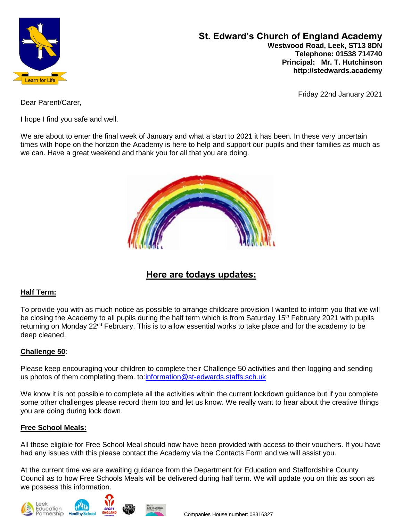

**St. Edward's Church of England Academy Westwood Road, Leek, ST13 8DN Telephone: 01538 714740 Principal: Mr. T. Hutchinson http://stedwards.academy**

Friday 22nd January 2021

Dear Parent/Carer,

I hope I find you safe and well.

We are about to enter the final week of January and what a start to 2021 it has been. In these very uncertain times with hope on the horizon the Academy is here to help and support our pupils and their families as much as we can. Have a great weekend and thank you for all that you are doing.



# **Here are todays updates:**

# **Half Term:**

To provide you with as much notice as possible to arrange childcare provision I wanted to inform you that we will be closing the Academy to all pupils during the half term which is from Saturday 15<sup>th</sup> February 2021 with pupils returning on Monday 22<sup>nd</sup> February. This is to allow essential works to take place and for the academy to be deep cleaned.

# **Challenge 50**:

Please keep encouraging your children to complete their Challenge 50 activities and then logging and sending us photos of them completing them. to[:information@st-edwards.staffs.sch.uk](mailto:information@st-edwards.staffs.sch.uk)

We know it is not possible to complete all the activities within the current lockdown guidance but if you complete some other challenges please record them too and let us know. We really want to hear about the creative things you are doing during lock down.

# **Free School Meals:**

All those eligible for Free School Meal should now have been provided with access to their vouchers. If you have had any issues with this please contact the Academy via the Contacts Form and we will assist you.

At the current time we are awaiting guidance from the Department for Education and Staffordshire County Council as to how Free Schools Meals will be delivered during half term. We will update you on this as soon as we possess this information.





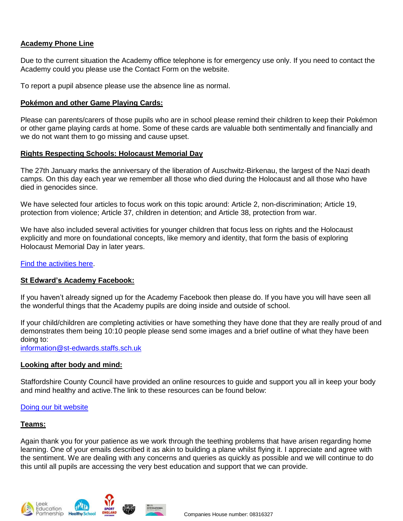## **Academy Phone Line**

Due to the current situation the Academy office telephone is for emergency use only. If you need to contact the Academy could you please use the Contact Form on the website.

To report a pupil absence please use the absence line as normal.

#### **Pokémon and other Game Playing Cards:**

Please can parents/carers of those pupils who are in school please remind their children to keep their Pokémon or other game playing cards at home. Some of these cards are valuable both sentimentally and financially and we do not want them to go missing and cause upset.

#### **Rights Respecting Schools: Holocaust Memorial Day**

The 27th January marks the anniversary of the liberation of Auschwitz-Birkenau, the largest of the Nazi death camps. On this day each year we remember all those who died during the Holocaust and all those who have died in genocides since.

We have selected four articles to focus work on this topic around: Article 2, non-discrimination; Article 19, protection from violence; Article 37, children in detention; and Article 38, protection from war.

We have also included several activities for younger children that focus less on rights and the Holocaust explicitly and more on foundational concepts, like memory and identity, that form the basis of exploring Holocaust Memorial Day in later years.

#### Find the [activities](https://www.unicef.org.uk/rights-respecting-schools/resources/teaching-resources/guidance-assemblies-lessons/article-of-the-week/?utm_source=Unicef_UK&utm_medium=Email&utm_campaign=team_campaign_audience) here.

#### **St Edward's Academy Facebook:**

If you haven't already signed up for the Academy Facebook then please do. If you have you will have seen all the wonderful things that the Academy pupils are doing inside and outside of school.

If your child/children are completing activities or have something they have done that they are really proud of and demonstrates them being 10:10 people please send some images and a brief outline of what they have been doing to:

[information@st-edwards.staffs.sch.uk](mailto:information@st-edwards.staffs.sch.uk)

#### **Looking after body and mind:**

Staffordshire County Council have provided an online resources to guide and support you all in keep your body and mind healthy and active.The link to these resources can be found below:

Doing our bit [website](https://www.staffordshire.gov.uk/DoingOurBit/Get-Inspired/Health-and-wellbeing/Do-it-to-feel-good-physical.aspx)

#### **Teams:**

Again thank you for your patience as we work through the teething problems that have arisen regarding home learning. One of your emails described it as akin to building a plane whilst flying it. I appreciate and agree with the sentiment. We are dealing with any concerns and queries as quickly as possible and we will continue to do this until all pupils are accessing the very best education and support that we can provide.





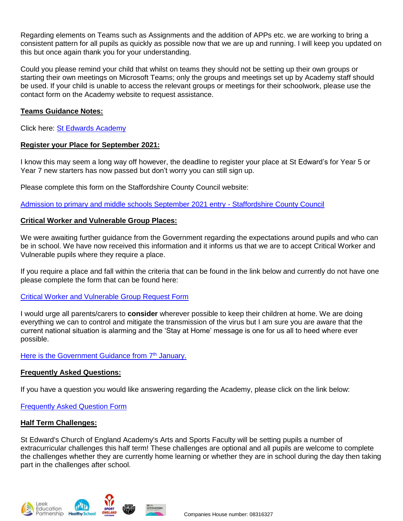Regarding elements on Teams such as Assignments and the addition of APPs etc. we are working to bring a consistent pattern for all pupils as quickly as possible now that we are up and running. I will keep you updated on this but once again thank you for your understanding.

Could you please remind your child that whilst on teams they should not be setting up their own groups or starting their own meetings on Microsoft Teams; only the groups and meetings set up by Academy staff should be used. If your child is unable to access the relevant groups or meetings for their schoolwork, please use the contact form on the Academy website to request assistance.

#### **Teams Guidance Notes:**

Click here: [St Edwards Academy](https://www.stedwards.academy/curriculum/home-learning-timetable)

## **Register your Place for September 2021:**

I know this may seem a long way off however, the deadline to register your place at St Edward's for Year 5 or Year 7 new starters has now passed but don't worry you can still sign up.

Please complete this form on the Staffordshire County Council website:

[Admission to primary and middle schools September 2021 entry -](https://www.staffordshire.gov.uk/Education/Admissions-primary/Apply/Overview.aspx) Staffordshire County Council

## **Critical Worker and Vulnerable Group Places:**

We were awaiting further guidance from the Government regarding the expectations around pupils and who can be in school. We have now received this information and it informs us that we are to accept Critical Worker and Vulnerable pupils where they require a place.

If you require a place and fall within the criteria that can be found in the link below and currently do not have one please complete the form that can be found here:

#### [Critical Worker and Vulnerable Group Request Form](https://forms.office.com/Pages/ResponsePage.aspx?id=1fhjb3KZgUuT_NXvEhdWcKayiLvXvodDpRcCWau7pr1UN1hZR0dHVDBUWlQ2NlJBR1VISFZSS0k1US4u)

I would urge all parents/carers to **consider** wherever possible to keep their children at home. We are doing everything we can to control and mitigate the transmission of the virus but I am sure you are aware that the current national situation is alarming and the 'Stay at Home' message is one for us all to heed where ever possible.

# Here is the [Government](https://assets.publishing.service.gov.uk/government/uploads/system/uploads/attachment_data/file/950510/School_national_restrictions_guidance.pdf) Guidance from 7<sup>th</sup> January.

# **Frequently Asked Questions:**

If you have a question you would like answering regarding the Academy, please click on the link below:

[Frequently Asked Question Form](https://forms.office.com/Pages/ResponsePage.aspx?id=1fhjb3KZgUuT_NXvEhdWcKayiLvXvodDpRcCWau7pr1URE41SjZHSElQTUhDTEwzV01JMEtLRlZXRS4u)

# **Half Term Challenges:**

St Edward's Church of England Academy's Arts and Sports Faculty will be setting pupils a number of extracurricular challenges this half term! These challenges are optional and all pupils are welcome to complete the challenges whether they are currently home learning or whether they are in school during the day then taking part in the challenges after school.





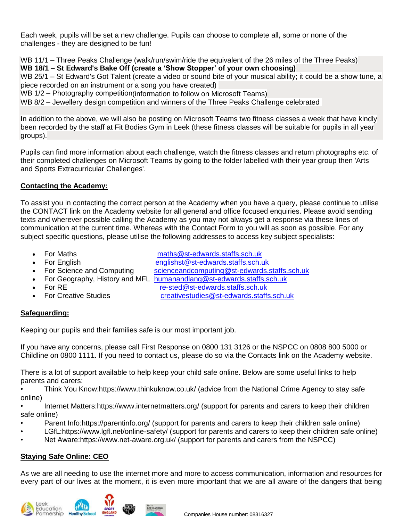Each week, pupils will be set a new challenge. Pupils can choose to complete all, some or none of the challenges - they are designed to be fun!

WB 11/1 – Three Peaks Challenge (walk/run/swim/ride the equivalent of the 26 miles of the Three Peaks) **WB 18/1 – St Edward's Bake Off (create a 'Show Stopper' of your own choosing)**

WB 25/1 – St Edward's Got Talent (create a video or sound bite of your musical ability; it could be a show tune, a piece recorded on an instrument or a song you have created)

WB 1/2 – Photography competition(information to follow on Microsoft Teams)

WB 8/2 – Jewellery design competition and winners of the Three Peaks Challenge celebrated

In addition to the above, we will also be posting on Microsoft Teams two fitness classes a week that have kindly been recorded by the staff at Fit Bodies Gym in Leek (these fitness classes will be suitable for pupils in all year groups).

Pupils can find more information about each challenge, watch the fitness classes and return photographs etc. of their completed challenges on Microsoft Teams by going to the folder labelled with their year group then 'Arts and Sports Extracurricular Challenges'.

# **Contacting the Academy:**

To assist you in contacting the correct person at the Academy when you have a query, please continue to utilise the CONTACT link on the Academy website for all general and office focused enquiries. Please avoid sending texts and wherever possible calling the Academy as you may not always get a response via these lines of communication at the current time. Whereas with the Contact Form to you will as soon as possible. For any subject specific questions, please utilise the following addresses to access key subject specialists:

- 
- 

For Maths [maths@st-edwards.staffs.sch.uk](mailto:maths@st-edwards.staffs.sch.uk)

- For English [englishst@st-edwards.staffs.sch.uk](mailto:englishst@st-edwards.staffs.sch.uk)
- For Science and Computing scienceandcomputing@st-edwards.staffs.sch.uk
- For Geography, History and MFL [humanandlang@st-edwards.staffs.sch.uk](mailto:humanandlang@st-edwards.staffs.sch.uk)
- 
- 

• For RE re-sted@st-edwards.staffs.sch.uk

For Creative Studies [creativestudies@st-edwards.staffs.sch.uk](mailto:creativestudies@st-edwards.staffs.sch.uk)

# **Safeguarding:**

Keeping our pupils and their families safe is our most important job.

If you have any concerns, please call First Response on 0800 131 3126 or the NSPCC on 0808 800 5000 or Childline on 0800 1111. If you need to contact us, please do so via the Contacts link on the Academy website.

There is a lot of support available to help keep your child safe online. Below are some useful links to help parents and carers:

• Think You Know:https://www.thinkuknow.co.uk/ (advice from the National Crime Agency to stay safe online)

• Internet Matters:https://www.internetmatters.org/ (support for parents and carers to keep their children safe online)

- Parent Info:https://parentinfo.org/ (support for parents and carers to keep their children safe online)
- LGfL:https://www.lgfl.net/online-safety/ (support for parents and carers to keep their children safe online)

• Net Aware:https://www.net-aware.org.uk/ (support for parents and carers from the NSPCC)

# **Staying Safe Online: CEO**

As we are all needing to use the internet more and more to access communication, information and resources for every part of our lives at the moment, it is even more important that we are all aware of the dangers that being



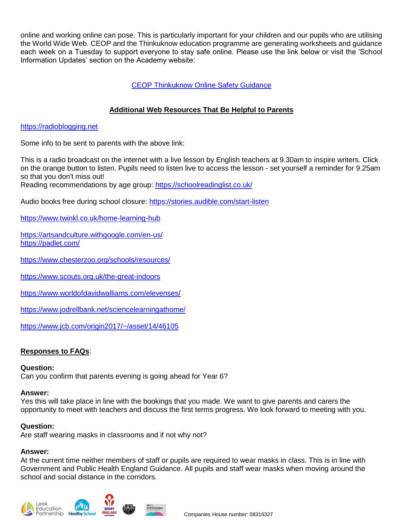online and working online can pose. This is particularly important for your children and our pupils who are utilising the World Wide Web. CEOP and the Thinkuknow education programme are generating worksheets and guidance each week on a Tuesday to support everyone to stay safe online. Please use the link below or visit the 'School Information Updates' section on the Academy website:

# [CEOP Thinkuknow Online Safety Guidance](https://www.stedwards.academy/admin/ckfinder/userfiles/files/CEOP%20sheet%20for%20parents%20and%20pupils.pdf)

# **Additional Web Resources That Be Helpful to Parents**

## [https://radioblogging.net](https://radioblogging.net/)

Some info to be sent to parents with the above link:

This is a radio broadcast on the internet with a live lesson by English teachers at 9.30am to inspire writers. Click on the orange button to listen. Pupils need to listen live to access the lesson - set yourself a reminder for 9.25am so that you don't miss out!

Reading recommendations by age group: <https://schoolreadinglist.co.uk/>

Audio books free during school closure: <https://stories.audible.com/start-listen>

<https://www.twinkl.co.uk/home-learning-hub>

<https://artsandculture.withgoogle.com/en-us/> <https://padlet.com/>

<https://www.chesterzoo.org/schools/resources/>

<https://www.scouts.org.uk/the-great-indoors>

<https://www.worldofdavidwalliams.com/elevenses/>

<https://www.jodrellbank.net/sciencelearningathome/>

<https://www.jcb.com/origin2017/~/asset/14/46105>

# **Responses to FAQs**:

#### **Question:**

Can you confirm that parents evening is going ahead for Year 6?

#### **Answer:**

Yes this will take place in line with the bookings that you made. We want to give parents and carers the opportunity to meet with teachers and discuss the first terms progress. We look forward to meeting with you.

#### **Question:**

Are staff wearing masks in classrooms and if not why not?

#### **Answer:**

At the current time neither members of staff or pupils are required to wear masks in class. This is in line with Government and Public Health England Guidance. All pupils and staff wear masks when moving around the school and social distance in the corridors.